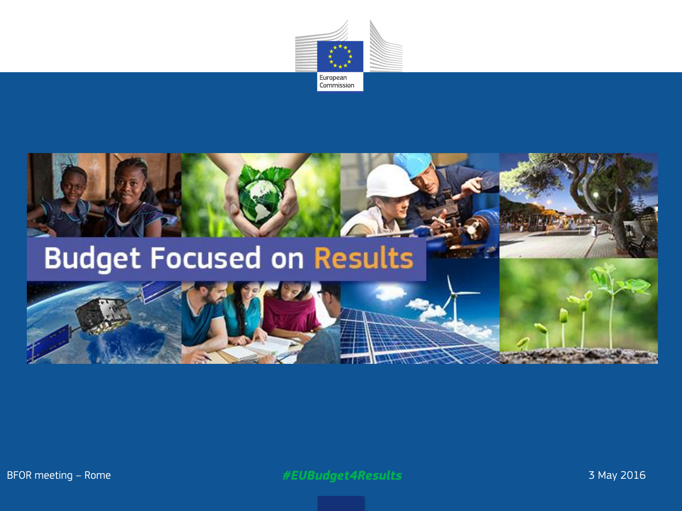



BFOR meeting – Rome *#EUBudget4Results* 3 May 2016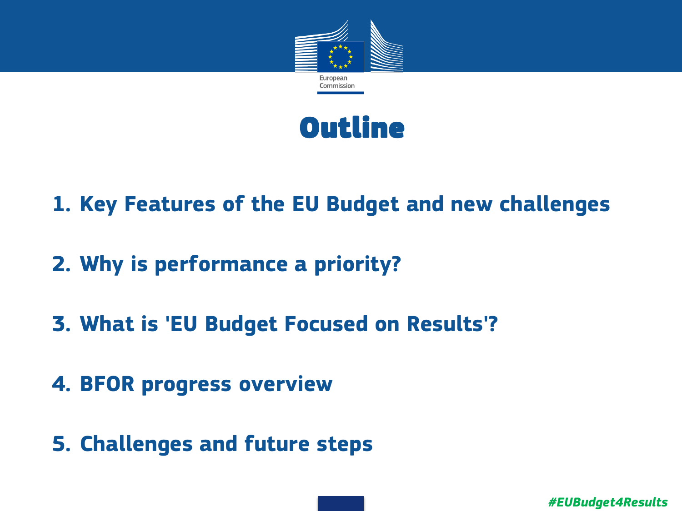



- **1. Key Features of the EU Budget and new challenges**
- **2. Why is performance a priority?**
- **3. What is 'EU Budget Focused on Results'?**
- **4. BFOR progress overview**
- **5. Challenges and future steps**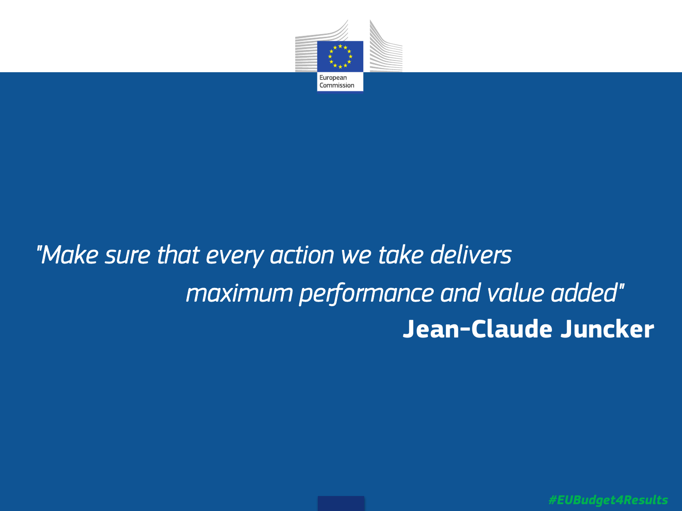

# *"Make sure that every action we take delivers maximum performance and value added"*   **Jean-Claude Juncker**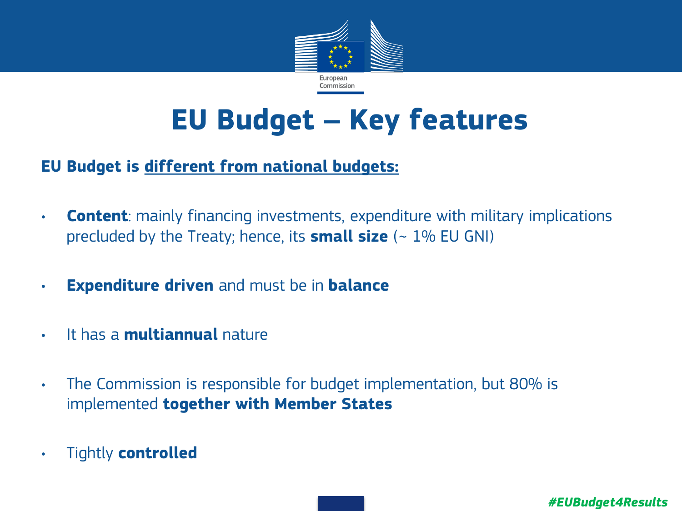

# **EU Budget – Key features**

#### **EU Budget is different from national budgets:**

- **Content**: mainly financing investments, expenditure with military implications precluded by the Treaty; hence, its **small size** (~ 1% EU GNI)
- **Expenditure driven** and must be in **balance**
- It has a **multiannual** nature
- The Commission is responsible for budget implementation, but 80% is implemented **together with Member States**
- Tightly **controlled**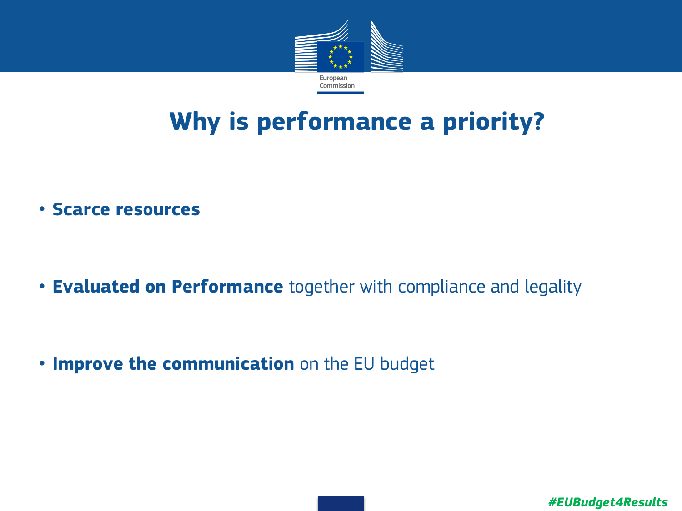

# **Why is performance a priority?**

• **Scarce resources**

• **Evaluated on Performance** together with compliance and legality

• **Improve the communication** on the EU budget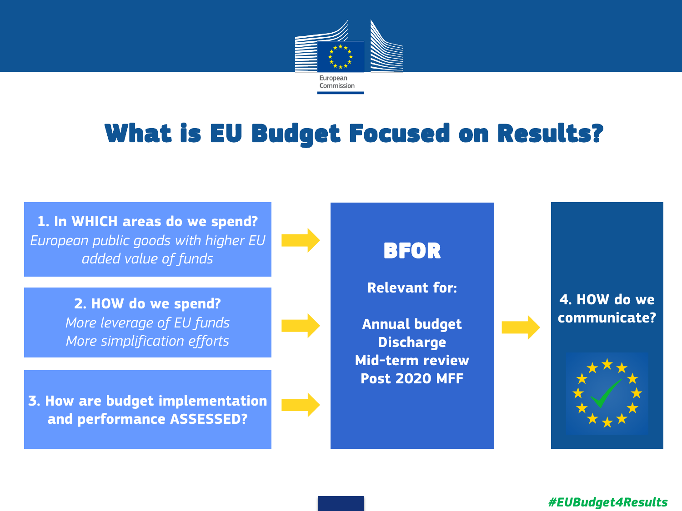

## What is EU Budget Focused on Results?

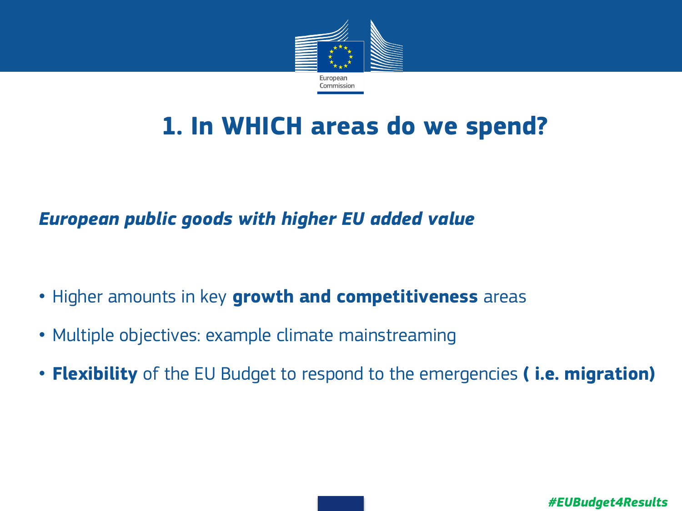

## **1. In WHICH areas do we spend?**

### *European public goods with higher EU added value*

- Higher amounts in key **growth and competitiveness** areas
- Multiple objectives: example climate mainstreaming
- **Flexibility** of the EU Budget to respond to the emergencies **( i.e. migration)**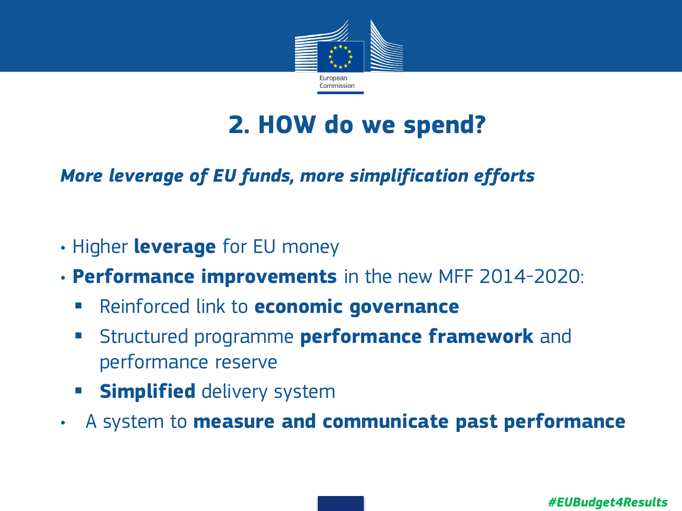

## **2. HOW do we spend?**

## *More leverage of EU funds, more simplification efforts*

- Higher **leverage** for EU money
- **Performance improvements** in the new MFF 2014-2020:
	- Reinforced link to **economic governance**
	- **EXTERF Structured programme performance framework** and performance reserve
	- **Simplified** delivery system
- A system to **measure and communicate past performance**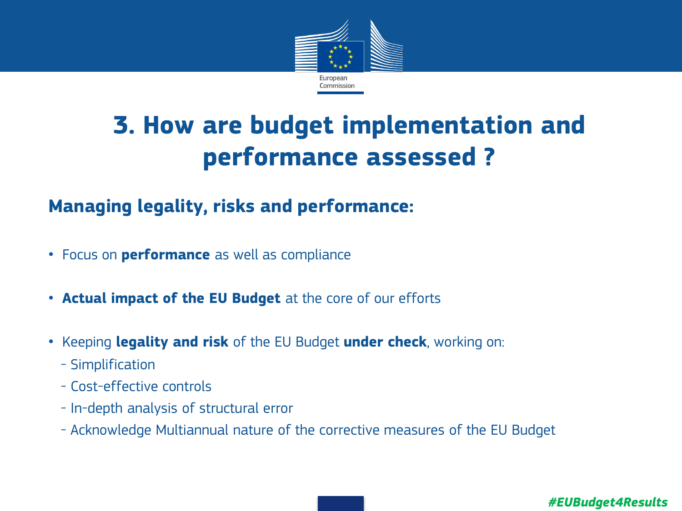

# **3. How are budget implementation and performance assessed ?**

## **Managing legality, risks and performance:**

- Focus on **performance** as well as compliance
- **Actual impact of the EU Budget** at the core of our efforts
- Keeping **legality and risk** of the EU Budget **under check**, working on:
	- Simplification
	- Cost-effective controls
	- In-depth analysis of structural error
	- Acknowledge Multiannual nature of the corrective measures of the EU Budget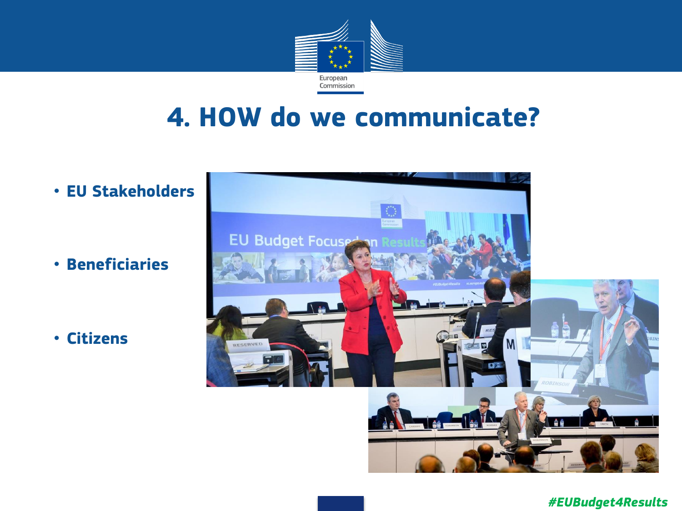

## **4. HOW do we communicate?**

• **EU Stakeholders**

• **Beneficiaries**

• **Citizens**

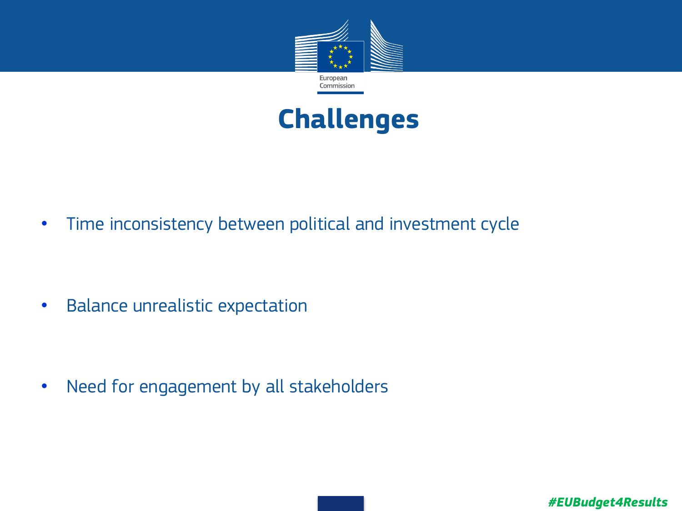



• Time inconsistency between political and investment cycle

• Balance unrealistic expectation

• Need for engagement by all stakeholders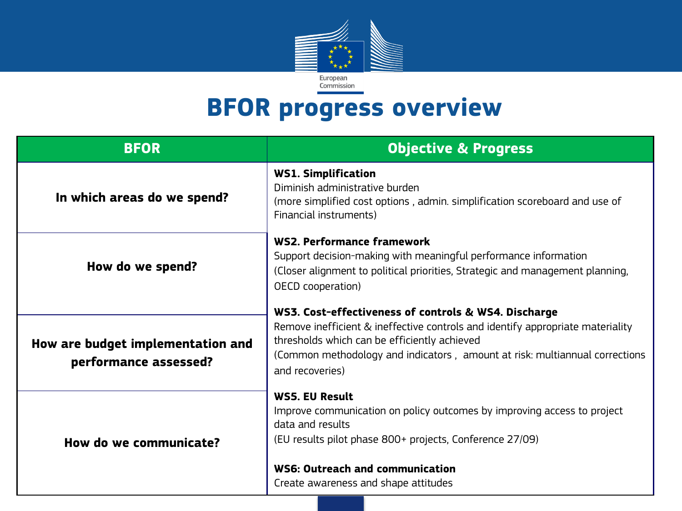

## **BFOR progress overview**

| <b>BFOR</b>                                                | <b>Objective &amp; Progress</b>                                                                                                                                                                                                                                                          |
|------------------------------------------------------------|------------------------------------------------------------------------------------------------------------------------------------------------------------------------------------------------------------------------------------------------------------------------------------------|
| In which areas do we spend?                                | <b>WS1. Simplification</b><br>Diminish administrative burden<br>(more simplified cost options, admin. simplification scoreboard and use of<br>Financial instruments)                                                                                                                     |
| How do we spend?                                           | WS2. Performance framework<br>Support decision-making with meaningful performance information<br>(Closer alignment to political priorities, Strategic and management planning,<br>OECD cooperation)                                                                                      |
| How are budget implementation and<br>performance assessed? | WS3. Cost-effectiveness of controls & WS4. Discharge<br>Remove inefficient & ineffective controls and identify appropriate materiality<br>thresholds which can be efficiently achieved<br>(Common methodology and indicators, amount at risk: multiannual corrections<br>and recoveries) |
| How do we communicate?                                     | <b>WS5. EU Result</b><br>Improve communication on policy outcomes by improving access to project<br>data and results<br>(EU results pilot phase 800+ projects, Conference 27/09)<br>WS6: Outreach and communication<br>Create awareness and shape attitudes                              |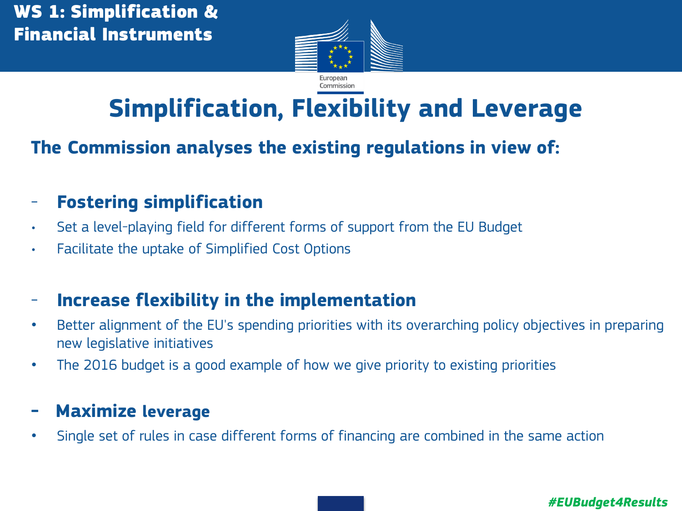

# **Simplification, Flexibility and Leverage**

# **The Commission analyses the existing regulations in view of:**

- **Fostering simplification**
- Set a level-playing field for different forms of support from the EU Budget
- Facilitate the uptake of Simplified Cost Options

### - **Increase flexibility in the implementation**

- Better alignment of the EU's spending priorities with its overarching policy objectives in preparing new legislative initiatives
- The 2016 budget is a good example of how we give priority to existing priorities

### **- Maximize leverage**

• Single set of rules in case different forms of financing are combined in the same action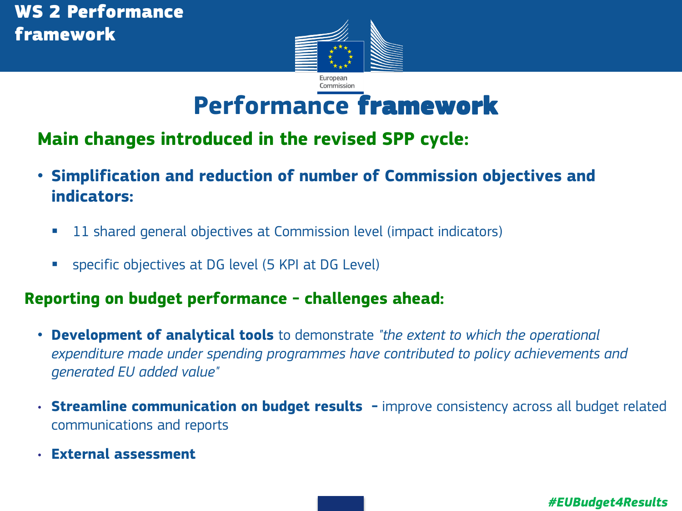

# **Performance** framework

### **Main changes introduced in the revised SPP cycle:**

- **Simplification and reduction of number of Commission objectives and indicators:** 
	- **11 shared general objectives at Commission level (impact indicators)**
	- **Specific objectives at DG level (5 KPI at DG Level)**

#### **Reporting on budget performance - challenges ahead:**

- **Development of analytical tools** to demonstrate *"the extent to which the operational expenditure made under spending programmes have contributed to policy achievements and generated EU added value"*
- **Streamline communication on budget results** improve consistency across all budget related communications and reports
- **External assessment**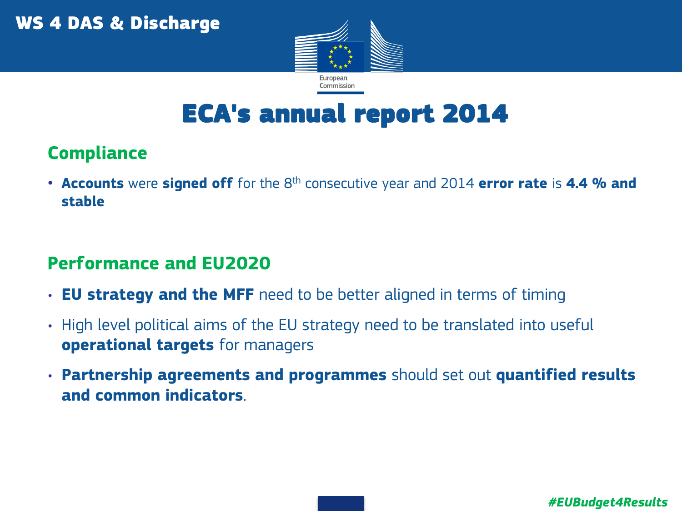

## ECA's annual report 2014

## **Compliance**

**• Accounts** were **signed off** for the 8<sup>th</sup> consecutive year and 2014 **error rate** is 4.4 % and **stable**

## **Performance and EU2020**

- **EU strategy and the MFF** need to be better aligned in terms of timing
- High level political aims of the EU strategy need to be translated into useful **operational targets** for managers
- **Partnership agreements and programmes** should set out **quantified results and common indicators**.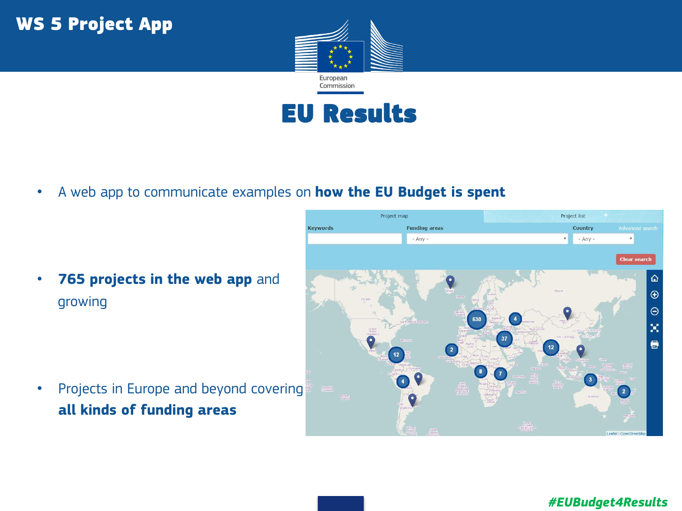



• A web app to communicate examples on **how the EU Budget is spent**

• **765 projects in the web app** and growing

• Projects in Europe and beyond covering **all kinds of funding areas**

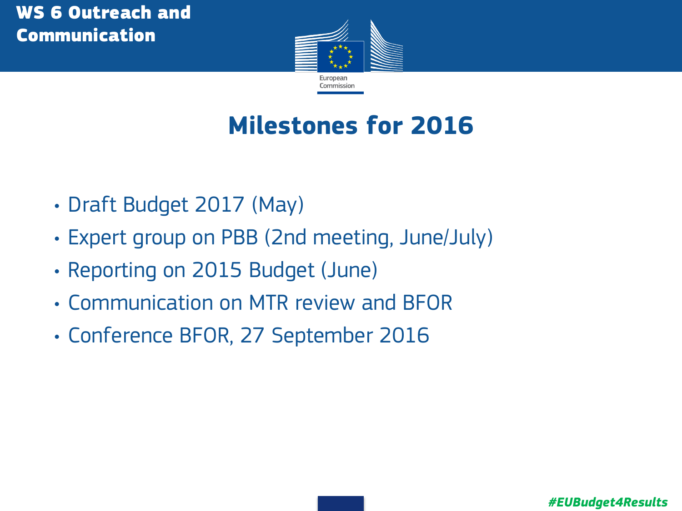

# **Milestones for 2016**

- Draft Budget 2017 (May)
- Expert group on PBB (2nd meeting, June/July)
- Reporting on 2015 Budget (June)
- Communication on MTR review and BFOR
- Conference BFOR, 27 September 2016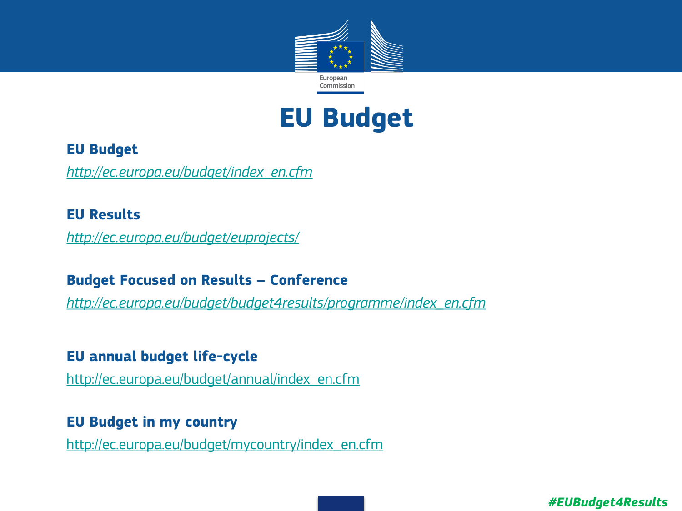

## **EU Budget**

#### • **EU Budget**

• *[http://ec.europa.eu/budget/index\\_en.cfm](http://ec.europa.eu/budget/index_en.cfm)*

#### • **EU Results**

• *<http://ec.europa.eu/budget/euprojects/>*

#### • **Budget Focused on Results – Conference**

• *[http://ec.europa.eu/budget/budget4results/programme/index\\_en.cfm](http://ec.europa.eu/budget/budget4results/programme/index_en.cfm)*

#### • **EU annual budget life-cycle**

• [http://ec.europa.eu/budget/annual/index\\_en.cfm](http://ec.europa.eu/budget/annual/index_en.cfm)

#### • **EU Budget in my country**

• [http://ec.europa.eu/budget/mycountry/index\\_en.cfm](http://ec.europa.eu/budget/mycountry/index_en.cfm)